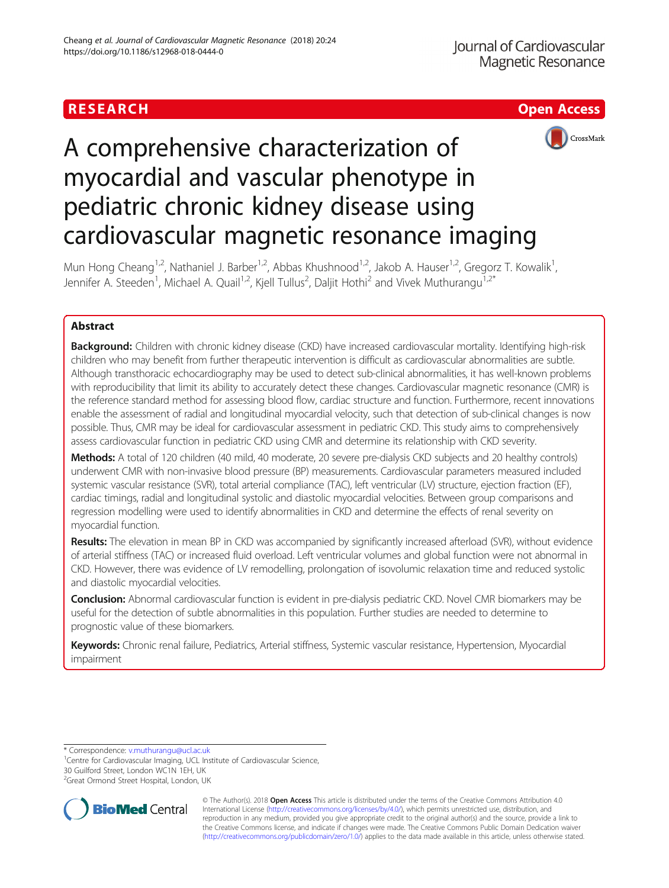



# A comprehensive characterization of myocardial and vascular phenotype in pediatric chronic kidney disease using cardiovascular magnetic resonance imaging

Mun Hong Cheang<sup>1,2</sup>, Nathaniel J. Barber<sup>1,2</sup>, Abbas Khushnood<sup>1,2</sup>, Jakob A. Hauser<sup>1,2</sup>, Gregorz T. Kowalik<sup>1</sup>, , Jennifer A. Steeden<sup>1</sup>, Michael A. Quail<sup>1,2</sup>, Kjell Tullus<sup>2</sup>, Daljit Hothi<sup>2</sup> and Vivek Muthurangu<sup>1,2\*</sup>

# Abstract

Background: Children with chronic kidney disease (CKD) have increased cardiovascular mortality. Identifying high-risk children who may benefit from further therapeutic intervention is difficult as cardiovascular abnormalities are subtle. Although transthoracic echocardiography may be used to detect sub-clinical abnormalities, it has well-known problems with reproducibility that limit its ability to accurately detect these changes. Cardiovascular magnetic resonance (CMR) is the reference standard method for assessing blood flow, cardiac structure and function. Furthermore, recent innovations enable the assessment of radial and longitudinal myocardial velocity, such that detection of sub-clinical changes is now possible. Thus, CMR may be ideal for cardiovascular assessment in pediatric CKD. This study aims to comprehensively assess cardiovascular function in pediatric CKD using CMR and determine its relationship with CKD severity.

Methods: A total of 120 children (40 mild, 40 moderate, 20 severe pre-dialysis CKD subjects and 20 healthy controls) underwent CMR with non-invasive blood pressure (BP) measurements. Cardiovascular parameters measured included systemic vascular resistance (SVR), total arterial compliance (TAC), left ventricular (LV) structure, ejection fraction (EF), cardiac timings, radial and longitudinal systolic and diastolic myocardial velocities. Between group comparisons and regression modelling were used to identify abnormalities in CKD and determine the effects of renal severity on myocardial function.

Results: The elevation in mean BP in CKD was accompanied by significantly increased afterload (SVR), without evidence of arterial stiffness (TAC) or increased fluid overload. Left ventricular volumes and global function were not abnormal in CKD. However, there was evidence of LV remodelling, prolongation of isovolumic relaxation time and reduced systolic and diastolic myocardial velocities.

Conclusion: Abnormal cardiovascular function is evident in pre-dialysis pediatric CKD. Novel CMR biomarkers may be useful for the detection of subtle abnormalities in this population. Further studies are needed to determine to prognostic value of these biomarkers.

Keywords: Chronic renal failure, Pediatrics, Arterial stiffness, Systemic vascular resistance, Hypertension, Myocardial impairment

\* Correspondence: [v.muthurangu@ucl.ac.uk](mailto:v.muthurangu@ucl.ac.uk) <sup>1</sup>

<sup>1</sup> Centre for Cardiovascular Imaging, UCL Institute of Cardiovascular Science, 30 Guilford Street, London WC1N 1EH, UK

<sup>2</sup>Great Ormond Street Hospital, London, UK



© The Author(s). 2018 **Open Access** This article is distributed under the terms of the Creative Commons Attribution 4.0 International License [\(http://creativecommons.org/licenses/by/4.0/](http://creativecommons.org/licenses/by/4.0/)), which permits unrestricted use, distribution, and reproduction in any medium, provided you give appropriate credit to the original author(s) and the source, provide a link to the Creative Commons license, and indicate if changes were made. The Creative Commons Public Domain Dedication waiver [\(http://creativecommons.org/publicdomain/zero/1.0/](http://creativecommons.org/publicdomain/zero/1.0/)) applies to the data made available in this article, unless otherwise stated.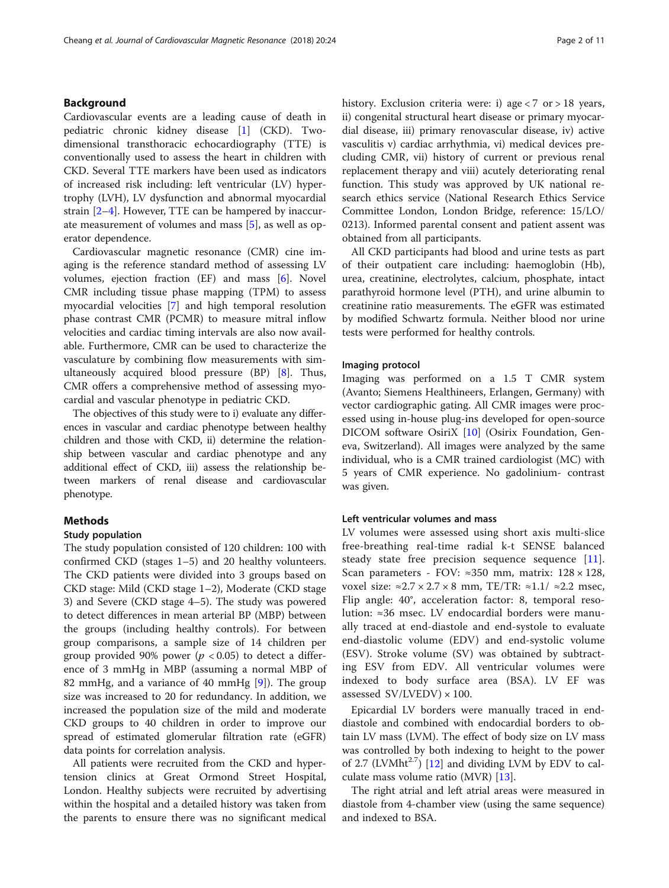# Background

Cardiovascular events are a leading cause of death in pediatric chronic kidney disease [[1\]](#page-9-0) (CKD). Twodimensional transthoracic echocardiography (TTE) is conventionally used to assess the heart in children with CKD. Several TTE markers have been used as indicators of increased risk including: left ventricular (LV) hypertrophy (LVH), LV dysfunction and abnormal myocardial strain [[2](#page-9-0)–[4](#page-9-0)]. However, TTE can be hampered by inaccurate measurement of volumes and mass [[5\]](#page-9-0), as well as operator dependence.

Cardiovascular magnetic resonance (CMR) cine imaging is the reference standard method of assessing LV volumes, ejection fraction (EF) and mass [[6\]](#page-9-0). Novel CMR including tissue phase mapping (TPM) to assess myocardial velocities [\[7\]](#page-9-0) and high temporal resolution phase contrast CMR (PCMR) to measure mitral inflow velocities and cardiac timing intervals are also now available. Furthermore, CMR can be used to characterize the vasculature by combining flow measurements with simultaneously acquired blood pressure (BP) [\[8](#page-9-0)]. Thus, CMR offers a comprehensive method of assessing myocardial and vascular phenotype in pediatric CKD.

The objectives of this study were to i) evaluate any differences in vascular and cardiac phenotype between healthy children and those with CKD, ii) determine the relationship between vascular and cardiac phenotype and any additional effect of CKD, iii) assess the relationship between markers of renal disease and cardiovascular phenotype.

# Methods

# Study population

The study population consisted of 120 children: 100 with confirmed CKD (stages 1–5) and 20 healthy volunteers. The CKD patients were divided into 3 groups based on CKD stage: Mild (CKD stage 1–2), Moderate (CKD stage 3) and Severe (CKD stage 4–5). The study was powered to detect differences in mean arterial BP (MBP) between the groups (including healthy controls). For between group comparisons, a sample size of 14 children per group provided 90% power ( $p < 0.05$ ) to detect a difference of 3 mmHg in MBP (assuming a normal MBP of 82 mmHg, and a variance of 40 mmHg  $[9]$  $[9]$ ). The group size was increased to 20 for redundancy. In addition, we increased the population size of the mild and moderate CKD groups to 40 children in order to improve our spread of estimated glomerular filtration rate (eGFR) data points for correlation analysis.

All patients were recruited from the CKD and hypertension clinics at Great Ormond Street Hospital, London. Healthy subjects were recruited by advertising within the hospital and a detailed history was taken from the parents to ensure there was no significant medical history. Exclusion criteria were: i) age < 7 or > 18 years, ii) congenital structural heart disease or primary myocardial disease, iii) primary renovascular disease, iv) active vasculitis v) cardiac arrhythmia, vi) medical devices precluding CMR, vii) history of current or previous renal replacement therapy and viii) acutely deteriorating renal function. This study was approved by UK national research ethics service (National Research Ethics Service Committee London, London Bridge, reference: 15/LO/ 0213). Informed parental consent and patient assent was obtained from all participants.

All CKD participants had blood and urine tests as part of their outpatient care including: haemoglobin (Hb), urea, creatinine, electrolytes, calcium, phosphate, intact parathyroid hormone level (PTH), and urine albumin to creatinine ratio measurements. The eGFR was estimated by modified Schwartz formula. Neither blood nor urine tests were performed for healthy controls.

#### Imaging protocol

Imaging was performed on a 1.5 T CMR system (Avanto; Siemens Healthineers, Erlangen, Germany) with vector cardiographic gating. All CMR images were processed using in-house plug-ins developed for open-source DICOM software OsiriX [\[10](#page-9-0)] (Osirix Foundation, Geneva, Switzerland). All images were analyzed by the same individual, who is a CMR trained cardiologist (MC) with 5 years of CMR experience. No gadolinium- contrast was given.

# Left ventricular volumes and mass

LV volumes were assessed using short axis multi-slice free-breathing real-time radial k-t SENSE balanced steady state free precision sequence sequence [[11](#page-9-0)]. Scan parameters - FOV:  $\approx 350$  mm, matrix:  $128 \times 128$ , voxel size: ≈2.7 × 2.7 × 8 mm, TE/TR: ≈1.1/ ≈2.2 msec, Flip angle: 40°, acceleration factor: 8, temporal resolution: ≈36 msec. LV endocardial borders were manually traced at end-diastole and end-systole to evaluate end-diastolic volume (EDV) and end-systolic volume (ESV). Stroke volume (SV) was obtained by subtracting ESV from EDV. All ventricular volumes were indexed to body surface area (BSA). LV EF was assessed  $SV/LVEDV$ ) × 100.

Epicardial LV borders were manually traced in enddiastole and combined with endocardial borders to obtain LV mass (LVM). The effect of body size on LV mass was controlled by both indexing to height to the power of 2.7 (LVMht $^{2.7}$ ) [\[12\]](#page-9-0) and dividing LVM by EDV to calculate mass volume ratio (MVR) [\[13](#page-9-0)].

The right atrial and left atrial areas were measured in diastole from 4-chamber view (using the same sequence) and indexed to BSA.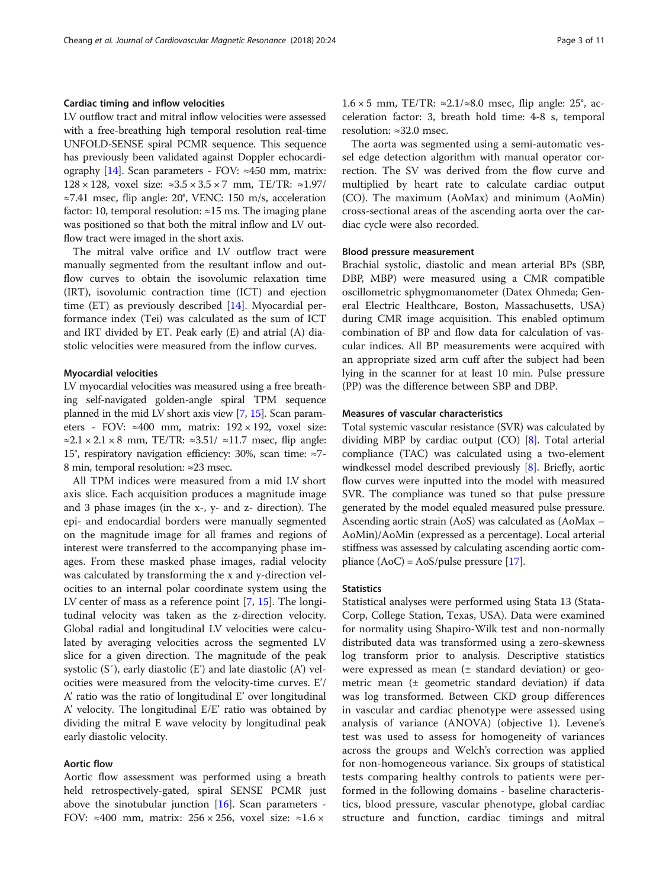# Cardiac timing and inflow velocities

LV outflow tract and mitral inflow velocities were assessed with a free-breathing high temporal resolution real-time UNFOLD-SENSE spiral PCMR sequence. This sequence has previously been validated against Doppler echocardi-ography [[14](#page-9-0)]. Scan parameters - FOV:  $\approx$ 450 mm, matrix: 128 × 128, voxel size: ≈3.5 × 3.5 × 7 mm, TE/TR: ≈1.97/ ≈7.41 msec, flip angle: 20°, VENC: 150 m/s, acceleration factor: 10, temporal resolution:  $\approx$  15 ms. The imaging plane was positioned so that both the mitral inflow and LV outflow tract were imaged in the short axis.

The mitral valve orifice and LV outflow tract were manually segmented from the resultant inflow and outflow curves to obtain the isovolumic relaxation time (IRT), isovolumic contraction time (ICT) and ejection time (ET) as previously described [\[14\]](#page-9-0). Myocardial performance index (Tei) was calculated as the sum of ICT and IRT divided by ET. Peak early (E) and atrial (A) diastolic velocities were measured from the inflow curves.

# Myocardial velocities

LV myocardial velocities was measured using a free breathing self-navigated golden-angle spiral TPM sequence planned in the mid LV short axis view [\[7](#page-9-0), [15](#page-9-0)]. Scan parameters - FOV:  $\approx 400$  mm, matrix: 192 × 192, voxel size:  $\approx$ 2.1 × 2.1 × 8 mm, TE/TR:  $\approx$ 3.51/  $\approx$ 11.7 msec, flip angle: 15°, respiratory navigation efficiency: 30%, scan time: ≈7- 8 min, temporal resolution: ≈23 msec.

All TPM indices were measured from a mid LV short axis slice. Each acquisition produces a magnitude image and 3 phase images (in the x-, y- and z- direction). The epi- and endocardial borders were manually segmented on the magnitude image for all frames and regions of interest were transferred to the accompanying phase images. From these masked phase images, radial velocity was calculated by transforming the x and y-direction velocities to an internal polar coordinate system using the LV center of mass as a reference point [[7](#page-9-0), [15](#page-9-0)]. The longitudinal velocity was taken as the z-direction velocity. Global radial and longitudinal LV velocities were calculated by averaging velocities across the segmented LV slice for a given direction. The magnitude of the peak systolic (S′), early diastolic (E') and late diastolic (A') velocities were measured from the velocity-time curves. E'/ A' ratio was the ratio of longitudinal E' over longitudinal A' velocity. The longitudinal E/E' ratio was obtained by dividing the mitral E wave velocity by longitudinal peak early diastolic velocity.

# Aortic flow

Aortic flow assessment was performed using a breath held retrospectively-gated, spiral SENSE PCMR just above the sinotubular junction  $[16]$ . Scan parameters -FOV: ≈400 mm, matrix:  $256 \times 256$ , voxel size: ≈1.6 ×

 $1.6 \times 5$  mm, TE/TR: ≈2.1/≈8.0 msec, flip angle: 25°, acceleration factor: 3, breath hold time: 4-8 s, temporal resolution: ≈32.0 msec.

The aorta was segmented using a semi-automatic vessel edge detection algorithm with manual operator correction. The SV was derived from the flow curve and multiplied by heart rate to calculate cardiac output (CO). The maximum (AoMax) and minimum (AoMin) cross-sectional areas of the ascending aorta over the cardiac cycle were also recorded.

#### Blood pressure measurement

Brachial systolic, diastolic and mean arterial BPs (SBP, DBP, MBP) were measured using a CMR compatible oscillometric sphygmomanometer (Datex Ohmeda; General Electric Healthcare, Boston, Massachusetts, USA) during CMR image acquisition. This enabled optimum combination of BP and flow data for calculation of vascular indices. All BP measurements were acquired with an appropriate sized arm cuff after the subject had been lying in the scanner for at least 10 min. Pulse pressure (PP) was the difference between SBP and DBP.

#### Measures of vascular characteristics

Total systemic vascular resistance (SVR) was calculated by dividing MBP by cardiac output (CO) [\[8](#page-9-0)]. Total arterial compliance (TAC) was calculated using a two-element windkessel model described previously [\[8\]](#page-9-0). Briefly, aortic flow curves were inputted into the model with measured SVR. The compliance was tuned so that pulse pressure generated by the model equaled measured pulse pressure. Ascending aortic strain (AoS) was calculated as (AoMax – AoMin)/AoMin (expressed as a percentage). Local arterial stiffness was assessed by calculating ascending aortic compliance  $(AoC) = AoS/pulse pressure [17]$  $(AoC) = AoS/pulse pressure [17]$ .

#### **Statistics**

Statistical analyses were performed using Stata 13 (Stata-Corp, College Station, Texas, USA). Data were examined for normality using Shapiro-Wilk test and non-normally distributed data was transformed using a zero-skewness log transform prior to analysis. Descriptive statistics were expressed as mean (± standard deviation) or geometric mean (± geometric standard deviation) if data was log transformed. Between CKD group differences in vascular and cardiac phenotype were assessed using analysis of variance (ANOVA) (objective 1). Levene's test was used to assess for homogeneity of variances across the groups and Welch's correction was applied for non-homogeneous variance. Six groups of statistical tests comparing healthy controls to patients were performed in the following domains - baseline characteristics, blood pressure, vascular phenotype, global cardiac structure and function, cardiac timings and mitral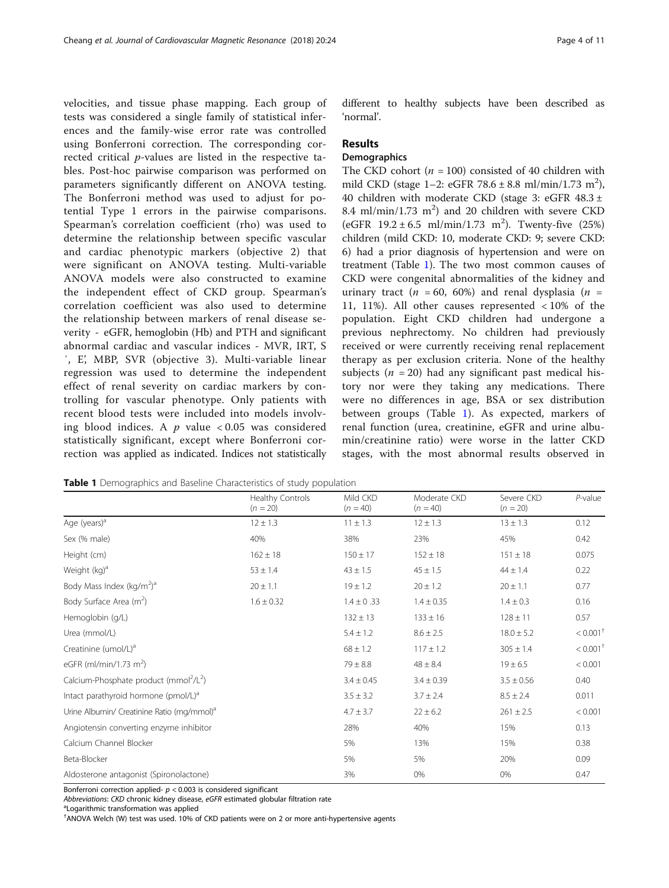velocities, and tissue phase mapping. Each group of tests was considered a single family of statistical inferences and the family-wise error rate was controlled using Bonferroni correction. The corresponding corrected critical p-values are listed in the respective tables. Post-hoc pairwise comparison was performed on parameters significantly different on ANOVA testing. The Bonferroni method was used to adjust for potential Type 1 errors in the pairwise comparisons. Spearman's correlation coefficient (rho) was used to determine the relationship between specific vascular and cardiac phenotypic markers (objective 2) that were significant on ANOVA testing. Multi-variable ANOVA models were also constructed to examine the independent effect of CKD group. Spearman's correlation coefficient was also used to determine the relationship between markers of renal disease severity - eGFR, hemoglobin (Hb) and PTH and significant abnormal cardiac and vascular indices - MVR, IRT, S ′, E', MBP, SVR (objective 3). Multi-variable linear regression was used to determine the independent effect of renal severity on cardiac markers by controlling for vascular phenotype. Only patients with recent blood tests were included into models involving blood indices. A  $p$  value < 0.05 was considered statistically significant, except where Bonferroni correction was applied as indicated. Indices not statistically different to healthy subjects have been described as 'normal'.

# Results

# **Demographics**

The CKD cohort ( $n = 100$ ) consisted of 40 children with mild CKD (stage 1-2: eGFR  $78.6 \pm 8.8$  ml/min/1.73 m<sup>2</sup>), 40 children with moderate CKD (stage 3: eGFR  $48.3 \pm$ 8.4 ml/min/1.73  $m<sup>2</sup>$ ) and 20 children with severe CKD (eGFR  $19.2 \pm 6.5$  ml/min/1.73 m<sup>2</sup>). Twenty-five (25%) children (mild CKD: 10, moderate CKD: 9; severe CKD: 6) had a prior diagnosis of hypertension and were on treatment (Table 1). The two most common causes of CKD were congenital abnormalities of the kidney and urinary tract ( $n = 60, 60\%$ ) and renal dysplasia ( $n =$ 11, 11%). All other causes represented < 10% of the population. Eight CKD children had undergone a previous nephrectomy. No children had previously received or were currently receiving renal replacement therapy as per exclusion criteria. None of the healthy subjects ( $n = 20$ ) had any significant past medical history nor were they taking any medications. There were no differences in age, BSA or sex distribution between groups (Table 1). As expected, markers of renal function (urea, creatinine, eGFR and urine albumin/creatinine ratio) were worse in the latter CKD stages, with the most abnormal results observed in

Table 1 Demographics and Baseline Characteristics of study population

|                                                                | <b>Healthy Controls</b><br>$(n = 20)$ | Mild CKD<br>$(n = 40)$ | Moderate CKD<br>$(n = 40)$ | Severe CKD<br>$(n = 20)$ | $P$ -value             |
|----------------------------------------------------------------|---------------------------------------|------------------------|----------------------------|--------------------------|------------------------|
| Age (years) <sup>a</sup>                                       | $12 \pm 1.3$                          | $11 \pm 1.3$           | $12 \pm 1.3$               | $13 \pm 1.3$             | 0.12                   |
| Sex (% male)                                                   | 40%                                   | 38%                    | 23%                        | 45%                      | 0.42                   |
| Height (cm)                                                    | $162 \pm 18$                          | $150 \pm 17$           | $152 \pm 18$               | $151 \pm 18$             | 0.075                  |
| Weight (kg) <sup>a</sup>                                       | $53 \pm 1.4$                          | $43 \pm 1.5$           | $45 \pm 1.5$               | $44 \pm 1.4$             | 0.22                   |
| Body Mass Index (kg/m <sup>2</sup> ) <sup>a</sup>              | $20 \pm 1.1$                          | $19 \pm 1.2$           | $20 \pm 1.2$               | $20 \pm 1.1$             | 0.77                   |
| Body Surface Area (m <sup>2</sup> )                            | $1.6 \pm 0.32$                        | $1.4 \pm 0.33$         | $1.4 \pm 0.35$             | $1.4 \pm 0.3$            | 0.16                   |
| Hemoglobin (g/L)                                               |                                       | $132 \pm 13$           | $133 \pm 16$               | $128 \pm 11$             | 0.57                   |
| Urea (mmol/L)                                                  |                                       | $5.4 \pm 1.2$          | $8.6 \pm 2.5$              | $18.0 \pm 5.2$           | $< 0.001$ <sup>+</sup> |
| Creatinine (umol/L) <sup>a</sup>                               |                                       | $68 \pm 1.2$           | $117 \pm 1.2$              | $305 \pm 1.4$            | $< 0.001$ <sup>+</sup> |
| eGFR (ml/min/1.73 m <sup>2</sup> )                             |                                       | $79 \pm 8.8$           | $48 \pm 8.4$               | $19 \pm 6.5$             | < 0.001                |
| Calcium-Phosphate product (mmol <sup>2</sup> /L <sup>2</sup> ) |                                       | $3.4 \pm 0.45$         | $3.4 \pm 0.39$             | $3.5 \pm 0.56$           | 0.40                   |
| Intact parathyroid hormone (pmol/L) <sup>a</sup>               |                                       | $3.5 \pm 3.2$          | $3.7 \pm 2.4$              | $8.5 \pm 2.4$            | 0.011                  |
| Urine Albumin/ Creatinine Ratio (mg/mmol) <sup>a</sup>         |                                       | $4.7 \pm 3.7$          | $22 \pm 6.2$               | $261 \pm 2.5$            | < 0.001                |
| Angiotensin converting enzyme inhibitor                        |                                       | 28%                    | 40%                        | 15%                      | 0.13                   |
| Calcium Channel Blocker                                        |                                       | 5%                     | 13%                        | 15%                      | 0.38                   |
| Beta-Blocker                                                   |                                       | 5%                     | 5%                         | 20%                      | 0.09                   |
| Aldosterone antagonist (Spironolactone)                        |                                       | 3%                     | 0%                         | 0%                       | 0.47                   |

Bonferroni correction applied- $p < 0.003$  is considered significant

Abbreviations: CKD chronic kidney disease, eGFR estimated globular filtration rate

<sup>a</sup>Logarithmic transformation was applied

† ANOVA Welch (W) test was used. 10% of CKD patients were on 2 or more anti-hypertensive agents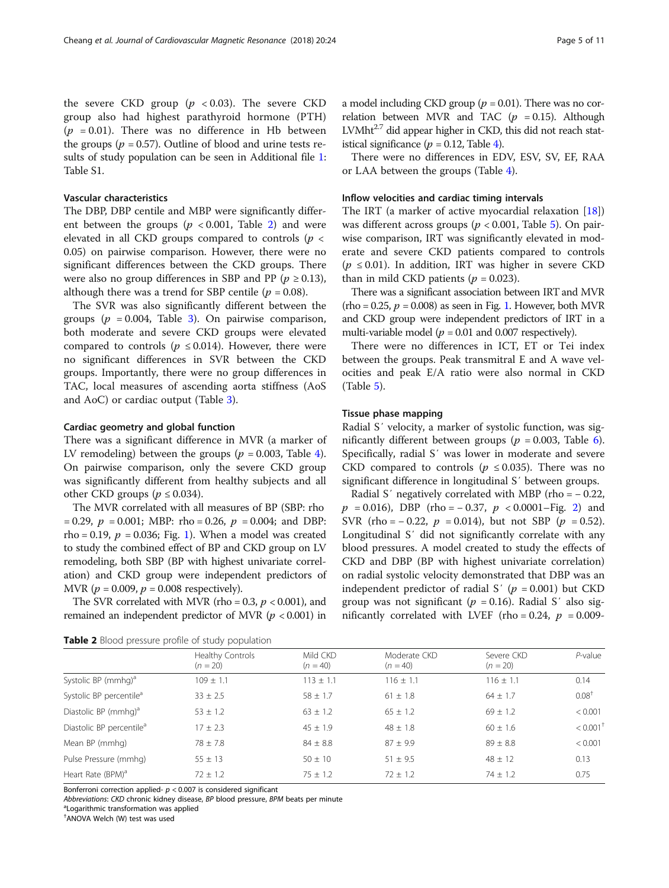the severe CKD group  $(p \lt 0.03)$ . The severe CKD group also had highest parathyroid hormone (PTH)  $(p = 0.01)$ . There was no difference in Hb between the groups ( $p = 0.57$ ). Outline of blood and urine tests results of study population can be seen in Additional file [1](#page-8-0): Table S1.

### Vascular characteristics

The DBP, DBP centile and MBP were significantly different between the groups ( $p < 0.001$ , Table 2) and were elevated in all CKD groups compared to controls ( $p <$ 0.05) on pairwise comparison. However, there were no significant differences between the CKD groups. There were also no group differences in SBP and PP ( $p \ge 0.13$ ), although there was a trend for SBP centile ( $p = 0.08$ ).

The SVR was also significantly different between the groups ( $p = 0.004$ , Table [3](#page-5-0)). On pairwise comparison, both moderate and severe CKD groups were elevated compared to controls ( $p \le 0.014$ ). However, there were no significant differences in SVR between the CKD groups. Importantly, there were no group differences in TAC, local measures of ascending aorta stiffness (AoS and AoC) or cardiac output (Table [3\)](#page-5-0).

### Cardiac geometry and global function

There was a significant difference in MVR (a marker of LV remodeling) between the groups ( $p = 0.003$ , Table [4](#page-5-0)). On pairwise comparison, only the severe CKD group was significantly different from healthy subjects and all other CKD groups ( $p \le 0.034$ ).

The MVR correlated with all measures of BP (SBP: rho  $= 0.29$ ,  $p = 0.001$ ; MBP: rho  $= 0.26$ ,  $p = 0.004$ ; and DBP: rho = 0.19,  $p = 0.036$ ; Fig. [1\)](#page-6-0). When a model was created to study the combined effect of BP and CKD group on LV remodeling, both SBP (BP with highest univariate correlation) and CKD group were independent predictors of MVR ( $p = 0.009$ ,  $p = 0.008$  respectively).

The SVR correlated with MVR (rho =  $0.3, p < 0.001$ ), and remained an independent predictor of MVR ( $p < 0.001$ ) in

a model including CKD group ( $p = 0.01$ ). There was no correlation between MVR and TAC ( $p = 0.15$ ). Although  $LVMht<sup>2.7</sup>$  did appear higher in CKD, this did not reach statistical significance ( $p = 0.12$ , Table [4](#page-5-0)).

There were no differences in EDV, ESV, SV, EF, RAA or LAA between the groups (Table [4\)](#page-5-0).

#### Inflow velocities and cardiac timing intervals

The IRT (a marker of active myocardial relaxation [\[18](#page-9-0)]) was different across groups ( $p < 0.001$ , Table [5\)](#page-6-0). On pairwise comparison, IRT was significantly elevated in moderate and severe CKD patients compared to controls  $(p \le 0.01)$ . In addition, IRT was higher in severe CKD than in mild CKD patients ( $p = 0.023$ ).

There was a significant association between IRT and MVR (rho =  $0.25$ ,  $p = 0.008$ ) as seen in Fig. [1](#page-6-0). However, both MVR and CKD group were independent predictors of IRT in a multi-variable model ( $p = 0.01$  and 0.007 respectively).

There were no differences in ICT, ET or Tei index between the groups. Peak transmitral E and A wave velocities and peak E/A ratio were also normal in CKD (Table [5\)](#page-6-0).

### Tissue phase mapping

Radial S′ velocity, a marker of systolic function, was significantly different between groups ( $p = 0.003$ , Table [6](#page-7-0)). Specifically, radial S′ was lower in moderate and severe CKD compared to controls ( $p \le 0.035$ ). There was no significant difference in longitudinal S′ between groups.

Radial S' negatively correlated with MBP (rho =  $-0.22$ ,  $p = 0.016$ , DBP (rho = -0.37,  $p < 0.0001$ –Fig. [2\)](#page-7-0) and SVR (rho =  $-0.22$ ,  $p = 0.014$ ), but not SBP ( $p = 0.52$ ). Longitudinal S′ did not significantly correlate with any blood pressures. A model created to study the effects of CKD and DBP (BP with highest univariate correlation) on radial systolic velocity demonstrated that DBP was an independent predictor of radial S'  $(p = 0.001)$  but CKD group was not significant ( $p = 0.16$ ). Radial S' also significantly correlated with LVEF (rho =  $0.24$ ,  $p = 0.009$ -

| <b>TWAIL &amp;</b> DIOOG pressure profile of staat population |                                |                        |                            |                          |                        |  |  |
|---------------------------------------------------------------|--------------------------------|------------------------|----------------------------|--------------------------|------------------------|--|--|
|                                                               | Healthy Controls<br>$(n = 20)$ | Mild CKD<br>$(n = 40)$ | Moderate CKD<br>$(n = 40)$ | Severe CKD<br>$(n = 20)$ | $P$ -value             |  |  |
| Systolic BP (mmhq) <sup>a</sup>                               | $109 + 1.1$                    | $113 + 1.1$            | $116 \pm 1.1$              | $116 \pm 1.1$            | 0.14                   |  |  |
| Systolic BP percentile <sup>a</sup>                           | $33 \pm 2.5$                   | $58 \pm 1.7$           | $61 \pm 1.8$               | $64 \pm 1.7$             | 0.08 <sup>†</sup>      |  |  |
| Diastolic BP (mmhq) <sup>a</sup>                              | $53 \pm 1.2$                   | $63 + 1.2$             | $65 \pm 1.2$               | $69 \pm 1.2$             | < 0.001                |  |  |
| Diastolic BP percentile <sup>a</sup>                          | $17 \pm 2.3$                   | $45 \pm 1.9$           | $48 \pm 1.8$               | $60 \pm 1.6$             | $< 0.001$ <sup>+</sup> |  |  |
| Mean BP (mmhg)                                                | $78 \pm 7.8$                   | $84 + 8.8$             | $87 \pm 9.9$               | $89 \pm 8.8$             | < 0.001                |  |  |
| Pulse Pressure (mmhg)                                         | $55 \pm 13$                    | $50 + 10$              | $51 \pm 9.5$               | $48 + 12$                | 0.13                   |  |  |
| Heart Rate (BPM) <sup>a</sup>                                 | $72 + 1.2$                     | $75 + 1.2$             | $72 + 1.2$                 | $74 + 1.2$               | 0.75                   |  |  |

**Table 2** Blood pressure profile of study population

Bonferroni correction applied- $p < 0.007$  is considered significant

Abbreviations: CKD chronic kidney disease, BP blood pressure, BPM beats per minute

<sup>a</sup> Logarithmic transformation was applied

† ANOVA Welch (W) test was used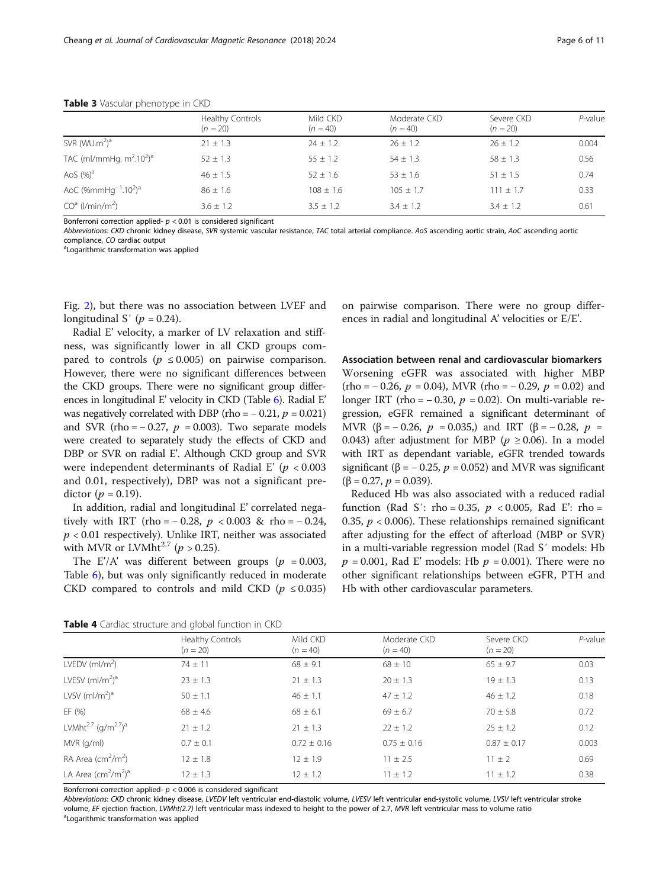|                                         | Healthy Controls<br>$(n = 20)$ | Mild CKD<br>$(n = 40)$ | Moderate CKD<br>$(n = 40)$ | Severe CKD<br>$(n = 20)$ | $P$ -value |
|-----------------------------------------|--------------------------------|------------------------|----------------------------|--------------------------|------------|
| SVR (WU.m <sup>2</sup> ) <sup>a</sup>   | $21 \pm 1.3$                   | $24 \pm 1.2$           | $26 + 1.2$                 | $26 \pm 1.2$             | 0.004      |
| TAC (ml/mmHg. $m^2.10^2$ ) <sup>a</sup> | $52 \pm 1.3$                   | $55 \pm 1.2$           | $54 \pm 1.3$               | $58 \pm 1.3$             | 0.56       |
| AoS $(%)a$                              | $46 + 1.5$                     | $52 + 1.6$             | $53 + 1.6$                 | $51 + 1.5$               | 0.74       |
| AoC $( %mmHg-1.102)a$                   | $86 \pm 1.6$                   | $108 \pm 1.6$          | $105 + 1.7$                | $111 + 1.7$              | 0.33       |
| $COa$ (l/min/m <sup>2</sup> )           | $3.6 \pm 1.2$                  | $3.5 + 1.2$            | $3.4 + 1.2$                | $3.4 \pm 1.2$            | 0.61       |

#### <span id="page-5-0"></span>Table 3 Vascular phenotype in CKD

Bonferroni correction applied- $p < 0.01$  is considered significant

Abbreviations: CKD chronic kidney disease, SVR systemic vascular resistance, TAC total arterial compliance. AoS ascending aortic strain, AoC ascending aortic compliance, CO cardiac output

<sup>a</sup> Logarithmic transformation was applied

Fig. [2\)](#page-7-0), but there was no association between LVEF and longitudinal S' ( $p = 0.24$ ).

Radial E' velocity, a marker of LV relaxation and stiffness, was significantly lower in all CKD groups compared to controls ( $p \le 0.005$ ) on pairwise comparison. However, there were no significant differences between the CKD groups. There were no significant group differences in longitudinal E' velocity in CKD (Table [6](#page-7-0)). Radial E' was negatively correlated with DBP (rho =  $-0.21$ ,  $p = 0.021$ ) and SVR (rho =  $-0.27$ ,  $p = 0.003$ ). Two separate models were created to separately study the effects of CKD and DBP or SVR on radial E'. Although CKD group and SVR were independent determinants of Radial E' ( $p < 0.003$ ) and 0.01, respectively), DBP was not a significant predictor ( $p = 0.19$ ).

In addition, radial and longitudinal E' correlated negatively with IRT (rho =  $-0.28$ ,  $p < 0.003$  & rho =  $-0.24$ ,  $p < 0.01$  respectively). Unlike IRT, neither was associated with MVR or LVMht<sup>2.7</sup> ( $p > 0.25$ ).

The E'/A' was different between groups ( $p = 0.003$ , Table [6](#page-7-0)), but was only significantly reduced in moderate CKD compared to controls and mild CKD ( $p \le 0.035$ ) on pairwise comparison. There were no group differences in radial and longitudinal A' velocities or E/E'.

Association between renal and cardiovascular biomarkers Worsening eGFR was associated with higher MBP  $(rho = -0.26, p = 0.04)$ , MVR  $(rho = -0.29, p = 0.02)$  and longer IRT (rho =  $-0.30$ ,  $p = 0.02$ ). On multi-variable regression, eGFR remained a significant determinant of MVR (β = -0.26,  $p = 0.035$ ) and IRT (β = -0.28,  $p =$ 0.043) after adjustment for MBP ( $p \ge 0.06$ ). In a model with IRT as dependant variable, eGFR trended towards significant ( $\beta$  = -0.25,  $p$  = 0.052) and MVR was significant  $(\beta = 0.27, p = 0.039).$ 

Reduced Hb was also associated with a reduced radial function (Rad S': rho = 0.35,  $p < 0.005$ , Rad E': rho = 0.35,  $p < 0.006$ ). These relationships remained significant after adjusting for the effect of afterload (MBP or SVR) in a multi-variable regression model (Rad S′ models: Hb  $p = 0.001$ , Rad E' models: Hb  $p = 0.001$ ). There were no other significant relationships between eGFR, PTH and Hb with other cardiovascular parameters.

|  |  | Table 4 Cardiac structure and global function in CKD |  |  |  |  |  |
|--|--|------------------------------------------------------|--|--|--|--|--|
|--|--|------------------------------------------------------|--|--|--|--|--|

|                                                         | $\tilde{}$                     |                        |                            |                          |            |
|---------------------------------------------------------|--------------------------------|------------------------|----------------------------|--------------------------|------------|
|                                                         | Healthy Controls<br>$(n = 20)$ | Mild CKD<br>$(n = 40)$ | Moderate CKD<br>$(n = 40)$ | Severe CKD<br>$(n = 20)$ | $P$ -value |
| LVEDV $(mI/m^2)$                                        | $74 \pm 11$                    | $68 \pm 9.1$           | $68 \pm 10$                | $65 \pm 9.7$             | 0.03       |
| LVESV $(mI/m2)a$                                        | $23 \pm 1.3$                   | $21 \pm 1.3$           | $20 \pm 1.3$               | $19 \pm 1.3$             | 0.13       |
| LVSV $(mI/m2)a$                                         | $50 \pm 1.1$                   | $46 \pm 1.1$           | $47 \pm 1.2$               | $46 \pm 1.2$             | 0.18       |
| EF (%)                                                  | $68 \pm 4.6$                   | $68 \pm 6.1$           | $69 \pm 6.7$               | $70 \pm 5.8$             | 0.72       |
| LVMht <sup>2.7</sup> (g/m <sup>2.7</sup> ) <sup>a</sup> | $21 \pm 1.2$                   | $21 \pm 1.3$           | $22 \pm 1.2$               | $25 \pm 1.2$             | 0.12       |
| MVR (g/ml)                                              | $0.7 \pm 0.1$                  | $0.72 \pm 0.16$        | $0.75 \pm 0.16$            | $0.87 \pm 0.17$          | 0.003      |
| RA Area ( $cm2/m2$ )                                    | $12 \pm 1.8$                   | $12 + 1.9$             | $11 \pm 2.5$               | $11 \pm 2$               | 0.69       |
| LA Area $\text{(cm}^2\text{/m}^2\text{)}^{\text{a}}$    | $12 \pm 1.3$                   | $12 \pm 1.2$           | $11 \pm 1.2$               | $11 \pm 1.2$             | 0.38       |

Bonferroni correction applied- $p < 0.006$  is considered significant

Abbreviations: CKD chronic kidney disease, LVEDV left ventricular end-diastolic volume, LVESV left ventricular end-systolic volume, LVSV left ventricular stroke volume, EF ejection fraction, LVMht(2.7) left ventricular mass indexed to height to the power of 2.7, MVR left ventricular mass to volume ratio

Logarithmic transformation was applied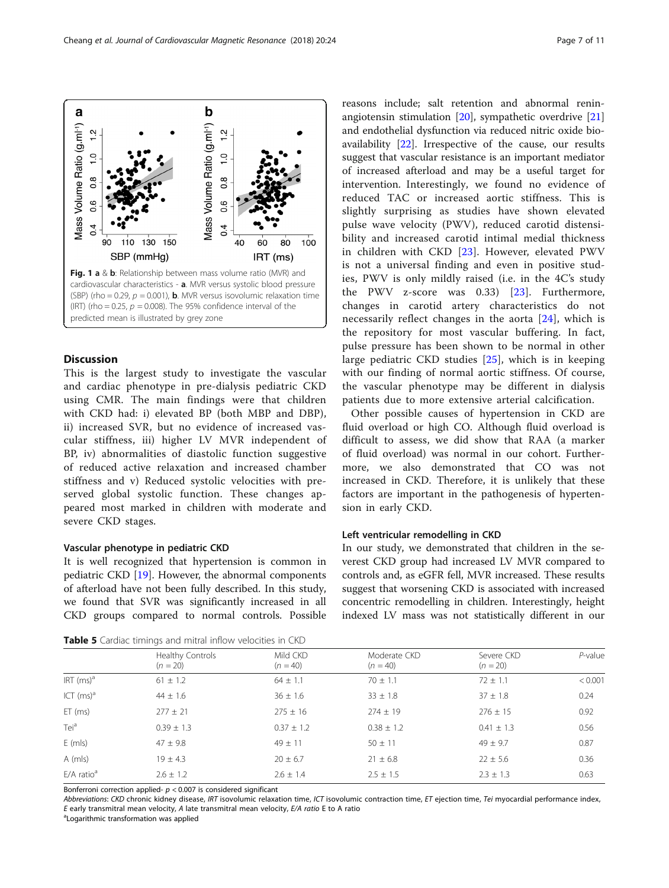Discussion This is the largest study to investigate the vascular and cardiac phenotype in pre-dialysis pediatric CKD using CMR. The main findings were that children with CKD had: i) elevated BP (both MBP and DBP), ii) increased SVR, but no evidence of increased vascular stiffness, iii) higher LV MVR independent of BP, iv) abnormalities of diastolic function suggestive of reduced active relaxation and increased chamber stiffness and v) Reduced systolic velocities with preserved global systolic function. These changes appeared most marked in children with moderate and severe CKD stages.

#### Vascular phenotype in pediatric CKD

It is well recognized that hypertension is common in pediatric CKD [\[19](#page-9-0)]. However, the abnormal components of afterload have not been fully described. In this study, we found that SVR was significantly increased in all CKD groups compared to normal controls. Possible

| Table 5 Cardiac timings and mitral inflow velocities in CKD |  |  |  |
|-------------------------------------------------------------|--|--|--|
|-------------------------------------------------------------|--|--|--|

angiotensin stimulation [[20\]](#page-9-0), sympathetic overdrive [[21](#page-9-0)] and endothelial dysfunction via reduced nitric oxide bioavailability [\[22](#page-9-0)]. Irrespective of the cause, our results suggest that vascular resistance is an important mediator of increased afterload and may be a useful target for intervention. Interestingly, we found no evidence of reduced TAC or increased aortic stiffness. This is slightly surprising as studies have shown elevated pulse wave velocity (PWV), reduced carotid distensibility and increased carotid intimal medial thickness in children with CKD [\[23](#page-9-0)]. However, elevated PWV is not a universal finding and even in positive studies, PWV is only mildly raised (i.e. in the 4C's study the PWV z-score was  $0.33$  [[23\]](#page-9-0). Furthermore, changes in carotid artery characteristics do not necessarily reflect changes in the aorta [[24\]](#page-9-0), which is the repository for most vascular buffering. In fact, pulse pressure has been shown to be normal in other large pediatric CKD studies [[25](#page-9-0)], which is in keeping with our finding of normal aortic stiffness. Of course, the vascular phenotype may be different in dialysis

reasons include; salt retention and abnormal renin-

Other possible causes of hypertension in CKD are fluid overload or high CO. Although fluid overload is difficult to assess, we did show that RAA (a marker of fluid overload) was normal in our cohort. Furthermore, we also demonstrated that CO was not increased in CKD. Therefore, it is unlikely that these factors are important in the pathogenesis of hypertension in early CKD.

patients due to more extensive arterial calcification.

#### Left ventricular remodelling in CKD

In our study, we demonstrated that children in the severest CKD group had increased LV MVR compared to controls and, as eGFR fell, MVR increased. These results suggest that worsening CKD is associated with increased concentric remodelling in children. Interestingly, height indexed LV mass was not statistically different in our

|                          | <b>Table 5</b> Cardiac timings and mitral inflow velocities in CKD |                        |                            |                          |            |  |  |
|--------------------------|--------------------------------------------------------------------|------------------------|----------------------------|--------------------------|------------|--|--|
|                          | Healthy Controls<br>$(n = 20)$                                     | Mild CKD<br>$(n = 40)$ | Moderate CKD<br>$(n = 40)$ | Severe CKD<br>$(n = 20)$ | $P$ -value |  |  |
| $IRT$ (ms) <sup>a</sup>  | $61 \pm 1.2$                                                       | $64 \pm 1.1$           | $70 \pm 1.1$               | $72 \pm 1.1$             | < 0.001    |  |  |
| ICT (ms) <sup>a</sup>    | $44 \pm 1.6$                                                       | $36 \pm 1.6$           | $33 \pm 1.8$               | $37 \pm 1.8$             | 0.24       |  |  |
| $ET$ (ms)                | $277 \pm 21$                                                       | $275 \pm 16$           | $274 \pm 19$               | $276 \pm 15$             | 0.92       |  |  |
| Teiª                     | $0.39 \pm 1.3$                                                     | $0.37 \pm 1.2$         | $0.38 \pm 1.2$             | $0.41 \pm 1.3$           | 0.56       |  |  |
| $E$ (mls)                | $47 + 9.8$                                                         | $49 + 11$              | $50 + 11$                  | $49 + 9.7$               | 0.87       |  |  |
| A (mls)                  | $19 \pm 4.3$                                                       | $20 \pm 6.7$           | $21 \pm 6.8$               | $22 \pm 5.6$             | 0.36       |  |  |
| $E/A$ ratio <sup>a</sup> | $2.6 \pm 1.2$                                                      | $2.6 \pm 1.4$          | $2.5 \pm 1.5$              | $2.3 \pm 1.3$            | 0.63       |  |  |

Bonferroni correction applied- $p < 0.007$  is considered significant

Abbreviations: CKD chronic kidney disease, IRT isovolumic relaxation time, ICT isovolumic contraction time, ET ejection time, Tei myocardial performance index, E early transmitral mean velocity, A late transmitral mean velocity,  $E/A$  ratio E to A ratio

Logarithmic transformation was applied

<span id="page-6-0"></span>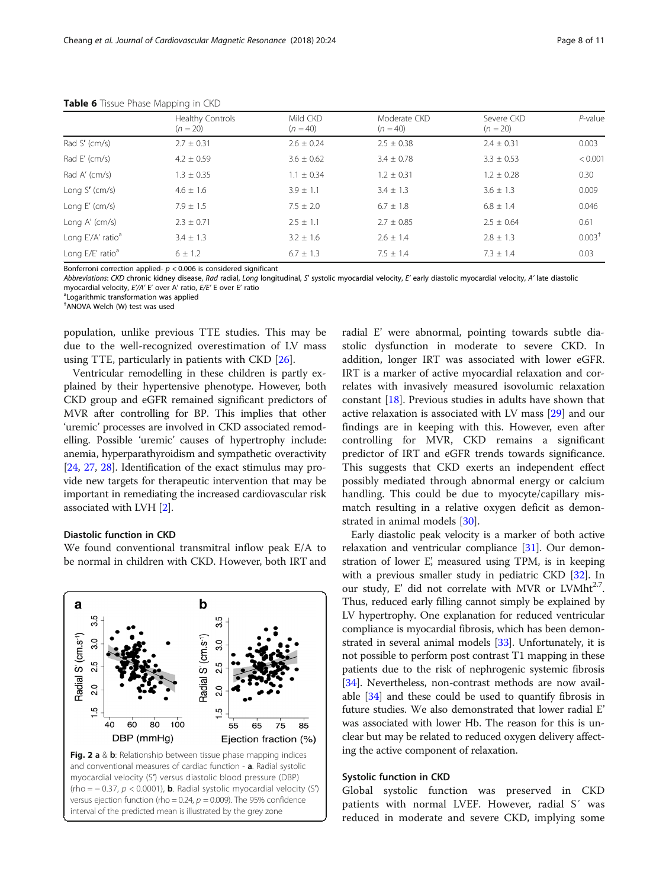|                               | Healthy Controls<br>$(n = 20)$ | Mild CKD<br>$(n = 40)$ | Moderate CKD<br>$(n = 40)$ | Severe CKD<br>$(n = 20)$ | $P$ -value         |
|-------------------------------|--------------------------------|------------------------|----------------------------|--------------------------|--------------------|
| Rad S' $(cm/s)$               | $2.7 \pm 0.31$                 | $2.6 \pm 0.24$         | $2.5 \pm 0.38$             | $2.4 \pm 0.31$           | 0.003              |
| Rad E' $(cm/s)$               | $4.2 \pm 0.59$                 | $3.6 \pm 0.62$         | $3.4 \pm 0.78$             | $3.3 \pm 0.53$           | < 0.001            |
| Rad A' (cm/s)                 | $1.3 \pm 0.35$                 | $1.1 \pm 0.34$         | $1.2 \pm 0.31$             | $1.2 \pm 0.28$           | 0.30               |
| Long $S'$ (cm/s)              | $4.6 \pm 1.6$                  | $3.9 \pm 1.1$          | $3.4 \pm 1.3$              | $3.6 \pm 1.3$            | 0.009              |
| Long $E'$ (cm/s)              | $7.9 \pm 1.5$                  | $7.5 \pm 2.0$          | $6.7 \pm 1.8$              | $6.8 \pm 1.4$            | 0.046              |
| Long $A'$ (cm/s)              | $2.3 \pm 0.71$                 | $2.5 \pm 1.1$          | $2.7 \pm 0.85$             | $2.5 \pm 0.64$           | 0.61               |
| Long E'/A' ratio <sup>a</sup> | $3.4 \pm 1.3$                  | $3.2 \pm 1.6$          | $2.6 \pm 1.4$              | $2.8 \pm 1.3$            | 0.003 <sup>†</sup> |
| Long E/E' ratio <sup>a</sup>  | $6 \pm 1.2$                    | $6.7 + 1.3$            | $7.5 + 1.4$                | $7.3 + 1.4$              | 0.03               |

<span id="page-7-0"></span>Table 6 Tissue Phase Mapping in CKD

Bonferroni correction applied- $p < 0.006$  is considered significant

Abbreviations: CKD chronic kidney disease, Rad radial, Long longitudinal, S' systolic myocardial velocity, E' early diastolic myocardial velocity, A' late diastolic myocardial velocity, E'/A' E' over A' ratio, E/E' E over E' ratio

<sup>a</sup> Logarithmic transformation was applied

† ANOVA Welch (W) test was used

population, unlike previous TTE studies. This may be due to the well-recognized overestimation of LV mass using TTE, particularly in patients with CKD [[26\]](#page-9-0).

Ventricular remodelling in these children is partly explained by their hypertensive phenotype. However, both CKD group and eGFR remained significant predictors of MVR after controlling for BP. This implies that other 'uremic' processes are involved in CKD associated remodelling. Possible 'uremic' causes of hypertrophy include: anemia, hyperparathyroidism and sympathetic overactivity [[24](#page-9-0), [27](#page-9-0), [28](#page-10-0)]. Identification of the exact stimulus may provide new targets for therapeutic intervention that may be important in remediating the increased cardiovascular risk associated with LVH [[2](#page-9-0)].

# Diastolic function in CKD

We found conventional transmitral inflow peak E/A to be normal in children with CKD. However, both IRT and



radial E' were abnormal, pointing towards subtle diastolic dysfunction in moderate to severe CKD. In addition, longer IRT was associated with lower eGFR. IRT is a marker of active myocardial relaxation and correlates with invasively measured isovolumic relaxation constant [[18\]](#page-9-0). Previous studies in adults have shown that active relaxation is associated with LV mass [\[29](#page-10-0)] and our findings are in keeping with this. However, even after controlling for MVR, CKD remains a significant predictor of IRT and eGFR trends towards significance. This suggests that CKD exerts an independent effect possibly mediated through abnormal energy or calcium handling. This could be due to myocyte/capillary mismatch resulting in a relative oxygen deficit as demonstrated in animal models [\[30](#page-10-0)].

Early diastolic peak velocity is a marker of both active relaxation and ventricular compliance [[31](#page-10-0)]. Our demonstration of lower E', measured using TPM, is in keeping with a previous smaller study in pediatric CKD [[32\]](#page-10-0). In our study, E' did not correlate with MVR or LVMht $^{2.7}$ . Thus, reduced early filling cannot simply be explained by LV hypertrophy. One explanation for reduced ventricular compliance is myocardial fibrosis, which has been demonstrated in several animal models [\[33](#page-10-0)]. Unfortunately, it is not possible to perform post contrast T1 mapping in these patients due to the risk of nephrogenic systemic fibrosis [[34](#page-10-0)]. Nevertheless, non-contrast methods are now available [[34](#page-10-0)] and these could be used to quantify fibrosis in future studies. We also demonstrated that lower radial E' was associated with lower Hb. The reason for this is unclear but may be related to reduced oxygen delivery affecting the active component of relaxation.

# Systolic function in CKD

Global systolic function was preserved in CKD patients with normal LVEF. However, radial S′ was reduced in moderate and severe CKD, implying some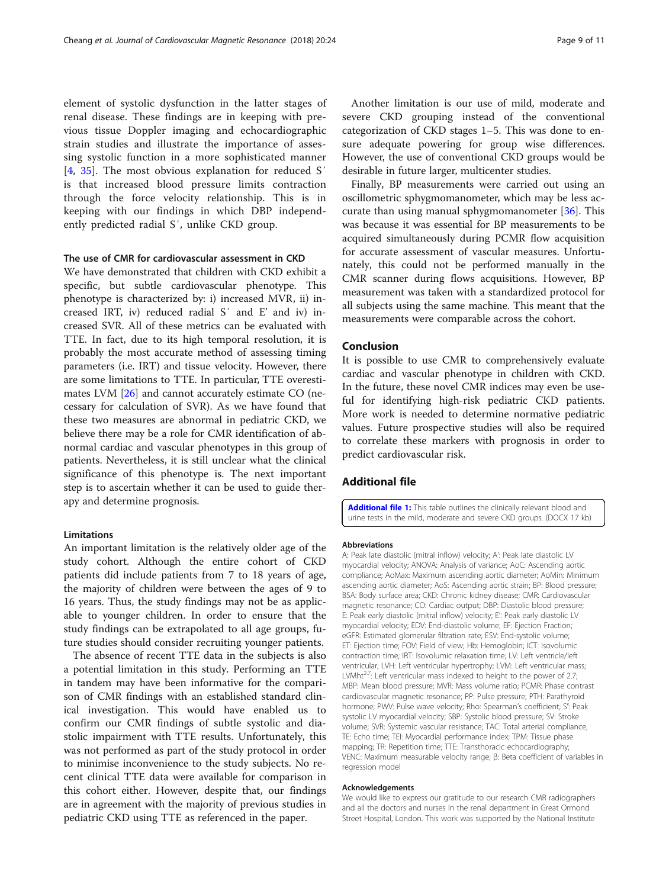<span id="page-8-0"></span>element of systolic dysfunction in the latter stages of renal disease. These findings are in keeping with previous tissue Doppler imaging and echocardiographic strain studies and illustrate the importance of assessing systolic function in a more sophisticated manner [[4,](#page-9-0) [35\]](#page-10-0). The most obvious explanation for reduced S' is that increased blood pressure limits contraction through the force velocity relationship. This is in keeping with our findings in which DBP independ-

## The use of CMR for cardiovascular assessment in CKD

ently predicted radial S′, unlike CKD group.

We have demonstrated that children with CKD exhibit a specific, but subtle cardiovascular phenotype. This phenotype is characterized by: i) increased MVR, ii) increased IRT, iv) reduced radial S′ and E' and iv) increased SVR. All of these metrics can be evaluated with TTE. In fact, due to its high temporal resolution, it is probably the most accurate method of assessing timing parameters (i.e. IRT) and tissue velocity. However, there are some limitations to TTE. In particular, TTE overestimates LVM [\[26](#page-9-0)] and cannot accurately estimate CO (necessary for calculation of SVR). As we have found that these two measures are abnormal in pediatric CKD, we believe there may be a role for CMR identification of abnormal cardiac and vascular phenotypes in this group of patients. Nevertheless, it is still unclear what the clinical significance of this phenotype is. The next important step is to ascertain whether it can be used to guide therapy and determine prognosis.

#### Limitations

An important limitation is the relatively older age of the study cohort. Although the entire cohort of CKD patients did include patients from 7 to 18 years of age, the majority of children were between the ages of 9 to 16 years. Thus, the study findings may not be as applicable to younger children. In order to ensure that the study findings can be extrapolated to all age groups, future studies should consider recruiting younger patients.

The absence of recent TTE data in the subjects is also a potential limitation in this study. Performing an TTE in tandem may have been informative for the comparison of CMR findings with an established standard clinical investigation. This would have enabled us to confirm our CMR findings of subtle systolic and diastolic impairment with TTE results. Unfortunately, this was not performed as part of the study protocol in order to minimise inconvenience to the study subjects. No recent clinical TTE data were available for comparison in this cohort either. However, despite that, our findings are in agreement with the majority of previous studies in pediatric CKD using TTE as referenced in the paper.

Another limitation is our use of mild, moderate and severe CKD grouping instead of the conventional categorization of CKD stages 1–5. This was done to ensure adequate powering for group wise differences. However, the use of conventional CKD groups would be desirable in future larger, multicenter studies.

Finally, BP measurements were carried out using an oscillometric sphygmomanometer, which may be less accurate than using manual sphygmomanometer [\[36](#page-10-0)]. This was because it was essential for BP measurements to be acquired simultaneously during PCMR flow acquisition for accurate assessment of vascular measures. Unfortunately, this could not be performed manually in the CMR scanner during flows acquisitions. However, BP measurement was taken with a standardized protocol for all subjects using the same machine. This meant that the measurements were comparable across the cohort.

# Conclusion

It is possible to use CMR to comprehensively evaluate cardiac and vascular phenotype in children with CKD. In the future, these novel CMR indices may even be useful for identifying high-risk pediatric CKD patients. More work is needed to determine normative pediatric values. Future prospective studies will also be required to correlate these markers with prognosis in order to predict cardiovascular risk.

# Additional file

[Additional file 1:](https://doi.org/10.1186/s12968-018-0444-0) This table outlines the clinically relevant blood and urine tests in the mild, moderate and severe CKD groups. (DOCX 17 kb)

#### Abbreviations

A: Peak late diastolic (mitral inflow) velocity; A': Peak late diastolic LV myocardial velocity; ANOVA: Analysis of variance; AoC: Ascending aortic compliance; AoMax: Maximum ascending aortic diameter; AoMin: Minimum ascending aortic diameter; AoS: Ascending aortic strain; BP: Blood pressure; BSA: Body surface area; CKD: Chronic kidney disease; CMR: Cardiovascular magnetic resonance; CO: Cardiac output; DBP: Diastolic blood pressure; E: Peak early diastolic (mitral inflow) velocity; E': Peak early diastolic LV myocardial velocity; EDV: End-diastolic volume; EF: Ejection Fraction; eGFR: Estimated glomerular filtration rate; ESV: End-systolic volume; ET: Ejection time; FOV: Field of view; Hb: Hemoglobin; ICT: Isovolumic contraction time; IRT: Isovolumic relaxation time; LV: Left ventricle/left ventricular; LVH: Left ventricular hypertrophy; LVM: Left ventricular mass; LVMht<sup>2.7</sup>: Left ventricular mass indexed to height to the power of 2.7; MBP: Mean blood pressure; MVR: Mass volume ratio; PCMR: Phase contrast cardiovascular magnetic resonance; PP: Pulse pressure; PTH: Parathyroid hormone; PWV: Pulse wave velocity; Rho: Spearman's coefficient; S′: Peak systolic LV myocardial velocity; SBP: Systolic blood pressure; SV: Stroke volume; SVR: Systemic vascular resistance; TAC: Total arterial compliance; TE: Echo time; TEI: Myocardial performance index; TPM: Tissue phase mapping; TR: Repetition time; TTE: Transthoracic echocardiography; VENC: Maximum measurable velocity range; β: Beta coefficient of variables in regression model

#### Acknowledgements

We would like to express our gratitude to our research CMR radiographers and all the doctors and nurses in the renal department in Great Ormond Street Hospital, London. This work was supported by the National Institute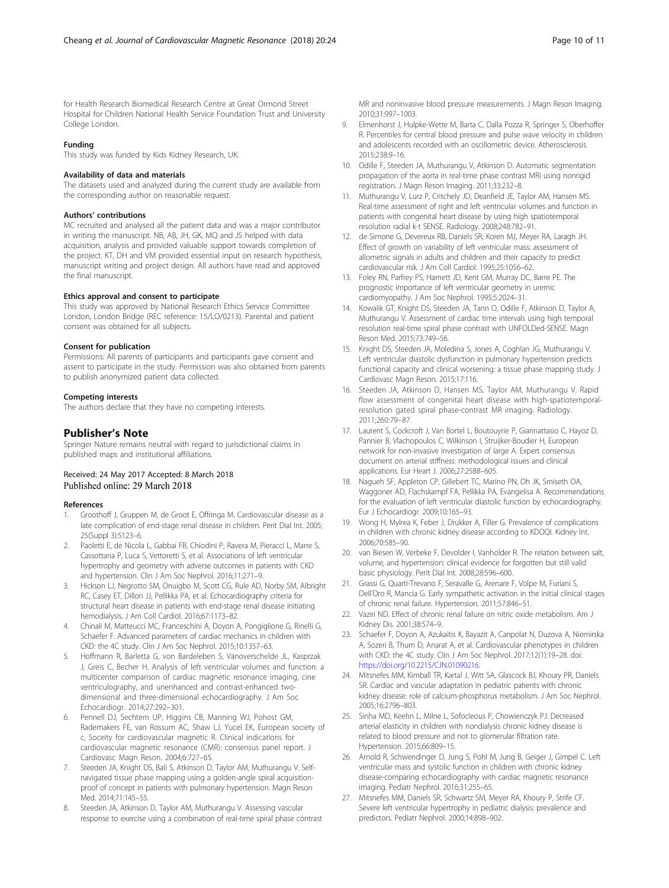<span id="page-9-0"></span>for Health Research Biomedical Research Centre at Great Ormond Street Hospital for Children National Health Service Foundation Trust and University College London.

#### Funding

This study was funded by Kids Kidney Research, UK.

#### Availability of data and materials

The datasets used and analyzed during the current study are available from the corresponding author on reasonable request.

#### Authors' contributions

MC recruited and analysed all the patient data and was a major contributor in writing the manuscript. NB, AB, JH, GK, MQ and JS helped with data acquisition, analysis and provided valuable support towards completion of the project. KT, DH and VM provided essential input on research hypothesis, manuscript writing and project design. All authors have read and approved the final manuscript.

#### Ethics approval and consent to participate

This study was approved by National Research Ethics Service Committee London, London Bridge (REC reference: 15/LO/0213). Parental and patient consent was obtained for all subjects.

#### Consent for publication

Permissions: All parents of participants and participants gave consent and assent to participate in the study. Permission was also obtained from parents to publish anonymized patient data collected.

#### Competing interests

The authors declare that they have no competing interests.

#### Publisher's Note

Springer Nature remains neutral with regard to jurisdictional claims in published maps and institutional affiliations.

## Received: 24 May 2017 Accepted: 8 March 2018 Published online: 29 March 2018

#### References

- 1. Groothoff J, Gruppen M, de Groot E, Offringa M. Cardiovascular disease as a late complication of end-stage renal disease in children. Perit Dial Int. 2005; 25(Suppl 3):S123–6.
- 2. Paoletti E, de Nicola L, Gabbai FB, Chiodini P, Ravera M, Pieracci L, Marre S, Cassottana P, Luca S, Vettoretti S, et al. Associations of left ventricular hypertrophy and geometry with adverse outcomes in patients with CKD and hypertension. Clin J Am Soc Nephrol. 2016;11:271–9.
- 3. Hickson LJ, Negrotto SM, Onuigbo M, Scott CG, Rule AD, Norby SM, Albright RC, Casey ET, Dillon JJ, Pellikka PA, et al. Echocardiography criteria for structural heart disease in patients with end-stage renal disease initiating hemodialysis. J Am Coll Cardiol. 2016;67:1173–82.
- 4. Chinali M, Matteucci MC, Franceschini A, Doyon A, Pongiglione G, Rinelli G, Schaefer F. Advanced parameters of cardiac mechanics in children with CKD: the 4C study. Clin J Am Soc Nephrol. 2015;10:1357–63.
- 5. Hoffmann R, Barletta G, von Bardeleben S, Vanoverschelde JL, Kasprzak J, Greis C, Becher H. Analysis of left ventricular volumes and function: a multicenter comparison of cardiac magnetic resonance imaging, cine ventriculography, and unenhanced and contrast-enhanced twodimensional and three-dimensional echocardiography. J Am Soc Echocardiogr. 2014;27:292–301.
- Pennell DJ, Sechtem UP, Higgins CB, Manning WJ, Pohost GM, Rademakers FE, van Rossum AC, Shaw LJ, Yucel EK, European society of c, Soceity for cardiovascular magnetic R. Clinical indications for cardiovascular magnetic resonance (CMR): consensus panel report. J Cardiovasc Magn Reson. 2004;6:727–65.
- 7. Steeden JA, Knight DS, Bali S, Atkinson D, Taylor AM, Muthurangu V. Selfnavigated tissue phase mapping using a golden-angle spiral acquisitionproof of concept in patients with pulmonary hypertension. Magn Reson Med. 2014;71:145–55.
- Steeden JA, Atkinson D, Taylor AM, Muthurangu V. Assessing vascular response to exercise using a combination of real-time spiral phase contrast

MR and noninvasive blood pressure measurements. J Magn Reson Imaging. 2010;31:997–1003.

- 9. Elmenhorst J, Hulpke-Wette M, Barta C, Dalla Pozza R, Springer S, Oberhoffer R. Percentiles for central blood pressure and pulse wave velocity in children and adolescents recorded with an oscillometric device. Atherosclerosis. 2015;238:9–16.
- 10. Odille F, Steeden JA, Muthurangu V, Atkinson D. Automatic segmentation propagation of the aorta in real-time phase contrast MRI using nonrigid registration. J Magn Reson Imaging. 2011;33:232–8.
- 11. Muthurangu V, Lurz P, Critchely JD, Deanfield JE, Taylor AM, Hansen MS. Real-time assessment of right and left ventricular volumes and function in patients with congenital heart disease by using high spatiotemporal resolution radial k-t SENSE. Radiology. 2008;248:782–91.
- 12. de Simone G, Devereux RB, Daniels SR, Koren MJ, Meyer RA, Laragh JH. Effect of growth on variability of left ventricular mass: assessment of allometric signals in adults and children and their capacity to predict cardiovascular risk. J Am Coll Cardiol. 1995;25:1056–62.
- 13. Foley RN, Parfrey PS, Harnett JD, Kent GM, Murray DC, Barre PE. The prognostic importance of left ventricular geometry in uremic cardiomyopathy. J Am Soc Nephrol. 1995;5:2024–31.
- 14. Kowalik GT, Knight DS, Steeden JA, Tann O, Odille F, Atkinson D, Taylor A, Muthurangu V. Assessment of cardiac time intervals using high temporal resolution real-time spiral phase contrast with UNFOLDed-SENSE. Magn Reson Med. 2015;73:749–56.
- 15. Knight DS, Steeden JA, Moledina S, Jones A, Coghlan JG, Muthurangu V. Left ventricular diastolic dysfunction in pulmonary hypertension predicts functional capacity and clinical worsening: a tissue phase mapping study. J Cardiovasc Magn Reson. 2015;17:116.
- 16. Steeden JA, Atkinson D, Hansen MS, Taylor AM, Muthurangu V. Rapid flow assessment of congenital heart disease with high-spatiotemporalresolution gated spiral phase-contrast MR imaging. Radiology. 2011;260:79–87.
- 17. Laurent S, Cockcroft J, Van Bortel L, Boutouyrie P, Giannattasio C, Hayoz D, Pannier B, Vlachopoulos C, Wilkinson I, Struijker-Boudier H, European network for non-invasive investigation of large A. Expert consensus document on arterial stiffness: methodological issues and clinical applications. Eur Heart J. 2006;27:2588–605.
- 18. Nagueh SF, Appleton CP, Gillebert TC, Marino PN, Oh JK, Smiseth OA, Waggoner AD, Flachskampf FA, Pellikka PA, Evangelisa A. Recommendations for the evaluation of left ventricular diastolic function by echocardiography. Eur J Echocardiogr. 2009;10:165–93.
- 19. Wong H, Mylrea K, Feber J, Drukker A, Filler G. Prevalence of complications in children with chronic kidney disease according to KDOQI. Kidney Int. 2006;70:585–90.
- 20. van Biesen W, Verbeke F, Devolder I, Vanholder R. The relation between salt, volume, and hypertension: clinical evidence for forgotten but still valid basic physiology. Perit Dial Int. 2008;28:596–600.
- 21. Grassi G, Quarti-Trevano F, Seravalle G, Arenare F, Volpe M, Furiani S, Dell'Oro R, Mancia G. Early sympathetic activation in the initial clinical stages of chronic renal failure. Hypertension. 2011;57:846–51.
- 22. Vaziri ND. Effect of chronic renal failure on nitric oxide metabolism. Am J Kidney Dis. 2001;38:S74–9.
- 23. Schaefer F, Doyon A, Azukaitis K, Bayazit A, Canpolat N, Duzova A, Niemirska A, Sozeri B, Thurn D, Anarat A, et al. Cardiovascular phenotypes in children with CKD: the 4C study. Clin J Am Soc Nephrol. 2017;12(1):19–28. doi: <https://doi.org/10.2215/CJN.01090216>.
- 24. Mitsnefes MM, Kimball TR, Kartal J, Witt SA, Glascock BJ, Khoury PR, Daniels SR. Cardiac and vascular adaptation in pediatric patients with chronic kidney disease: role of calcium-phosphorus metabolism. J Am Soc Nephrol. 2005;16:2796–803.
- 25. Sinha MD, Keehn L, Milne L, Sofocleous P, Chowienczyk PJ. Decreased arterial elasticity in children with nondialysis chronic kidney disease is related to blood pressure and not to glomerular filtration rate. Hypertension. 2015;66:809–15.
- 26. Arnold R, Schwendinger D, Jung S, Pohl M, Jung B, Geiger J, Gimpel C. Left ventricular mass and systolic function in children with chronic kidney disease-comparing echocardiography with cardiac magnetic resonance imaging. Pediatr Nephrol. 2016;31:255–65.
- 27. Mitsnefes MM, Daniels SR, Schwartz SM, Meyer RA, Khoury P, Strife CF. Severe left ventricular hypertrophy in pediatric dialysis: prevalence and predictors. Pediatr Nephrol. 2000;14:898–902.